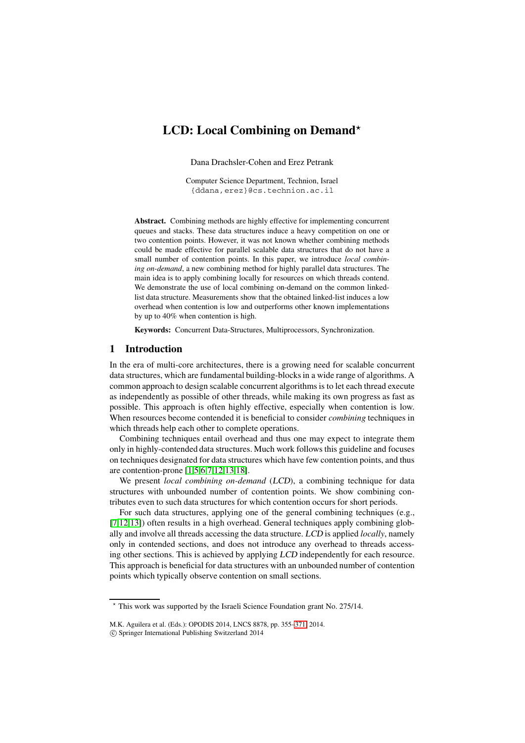# **LCD: Local Combining on Demand***-*

Dana Drachsler-Cohen and Erez Petrank

Computer Science Department, Technion, Israel {ddana,erez}@cs.technion.ac.il

**Abstract.** Combining methods are highly effective for implementing concurrent queues and stacks. These data structures induce a heavy competition on one or two contention points. However, it was not known whether combining methods could be made effective for parallel scalable data structures that do not have a small number of contention points. In this paper, we introduce *local combining on-demand*, a new combining method for highly parallel data structures. The main idea is to apply combining locally for resources on which threads contend. We demonstrate the use of local combining on-demand on the common linkedlist data structure. Measurements show that the obtained linked-list induces a low overhead when contention is low and outperforms other known implementations by up to 40% when contention is high.

**Keywords:** Concurrent Data-Structures, Multiprocessors, Synchronization.

# **1 Introduction**

In the era of multi-core architectures, there is a growing need for scalable concurrent data structures, which are fundamental building-blocks in a wide range of algorithms. A common approach to design scalable concurrent algorithms is to let each thread execute as independently as possible of other threads, while making its own progress as fast as possible. This approach is often highly effective, especially when contention is low. When resources become contended it is beneficial to consider *combining* techniques in which threads help each other to complete operations.

Combining techniques entail overhead and thus one may expect to integrate them only in highly-contended data structures. Much work follows this guideline and focuses on techniques designated for data structures which have few contention points, and thus are contention-prone [\[1](#page-15-0)[,5,](#page-15-1)[6](#page-15-2)[,7,](#page-15-3)[12](#page-16-0)[,13,](#page-16-1)[18\]](#page-16-2).

We present *local combining on-demand* (LCD), a combining technique for data structures with unbounded number of contention points. We show combining contributes even to such data structures for which contention occurs for short periods.

For such data structures, applying one of the general combining techniques (e.g., [\[7,](#page-15-3)[12,](#page-16-0)[13\]](#page-16-1)) often results in a high overhead. General techniques apply combining globally and involve all threads accessing the data structure. LCD is applied *locally*, namely only in contended sections, and does not introduce any overhead to threads accessing other sections. This is achieved by applying LCD independently for each resource. This approach is beneficial for data structures with an unbounded number of contention points which typically observe contention on small sections.

<sup>-</sup> This work was supported by the Israeli Science Foundation grant No. 275/14.

M.K. Aguilera et al. (Eds.): OPODIS 2014, LNCS 8878, pp. 355[–371,](#page-14-0) 2014.

<sup>-</sup>c Springer International Publishing Switzerland 2014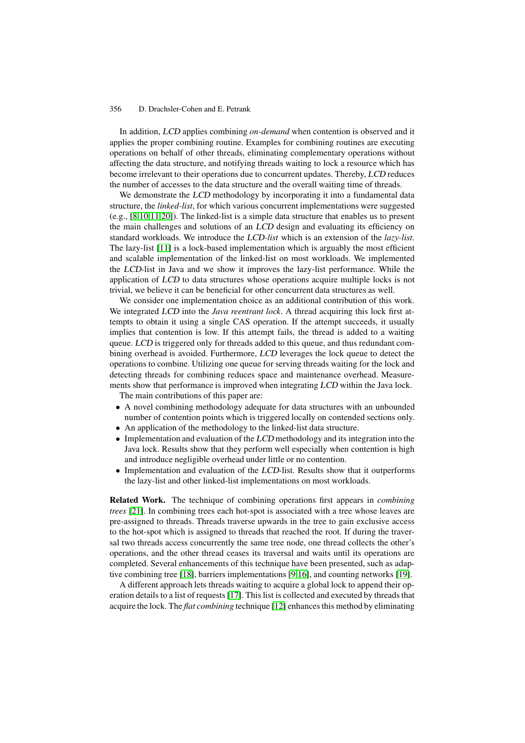In addition, LCD applies combining *on-demand* when contention is observed and it applies the proper combining routine. Examples for combining routines are executing operations on behalf of other threads, eliminating complementary operations without affecting the data structure, and notifying threads waiting to lock a resource which has become irrelevant to their operations due to concurrent updates. Thereby, LCD reduces the number of accesses to the data structure and the overall waiting time of threads.

We demonstrate the *LCD* methodology by incorporating it into a fundamental data structure, the *linked-list*, for which various concurrent implementations were suggested (e.g., [\[8,](#page-15-4)[10,](#page-15-5)[11](#page-16-3)[,20\]](#page-16-4)). The linked-list is a simple data structure that enables us to present the main challenges and solutions of an LCD design and evaluating its efficiency on standard workloads. We introduce the LCD*-list* which is an extension of the *lazy-list*. The lazy-list [\[11\]](#page-16-3) is a lock-based implementation which is arguably the most efficient and scalable implementation of the linked-list on most workloads. We implemented the LCD-list in Java and we show it improves the lazy-list performance. While the application of LCD to data structures whose operations acquire multiple locks is not trivial, we believe it can be beneficial for other concurrent data structures as well.

We consider one implementation choice as an additional contribution of this work. We integrated LCD into the *Java reentrant lock*. A thread acquiring this lock first attempts to obtain it using a single CAS operation. If the attempt succeeds, it usually implies that contention is low. If this attempt fails, the thread is added to a waiting queue. LCD is triggered only for threads added to this queue, and thus redundant combining overhead is avoided. Furthermore, LCD leverages the lock queue to detect the operations to combine. Utilizing one queue for serving threads waiting for the lock and detecting threads for combining reduces space and maintenance overhead. Measurements show that performance is improved when integrating *LCD* within the Java lock.

The main contributions of this paper are:

- A novel combining methodology adequate for data structures with an unbounded number of contention points which is triggered locally on contended sections only.
- An application of the methodology to the linked-list data structure.
- Implementation and evaluation of the LCD methodology and its integration into the Java lock. Results show that they perform well especially when contention is high and introduce negligible overhead under little or no contention.
- Implementation and evaluation of the *LCD*-list. Results show that it outperforms the lazy-list and other linked-list implementations on most workloads.

**Related Work.** The technique of combining operations first appears in *combining trees* [\[21\]](#page-16-5). In combining trees each hot-spot is associated with a tree whose leaves are pre-assigned to threads. Threads traverse upwards in the tree to gain exclusive access to the hot-spot which is assigned to threads that reached the root. If during the traversal two threads access concurrently the same tree node, one thread collects the other's operations, and the other thread ceases its traversal and waits until its operations are completed. Several enhancements of this technique have been presented, such as adaptive combining tree [\[18\]](#page-16-2), barriers implementations [\[9,](#page-15-6)[16\]](#page-16-6), and counting networks [\[19\]](#page-16-7).

A different approach lets threads waiting to acquire a global lock to append their operation details to a list of requests [\[17\]](#page-16-8). This list is collected and executed by threads that acquire the lock. The *flat combining* technique [\[12\]](#page-16-0) enhances this method by eliminating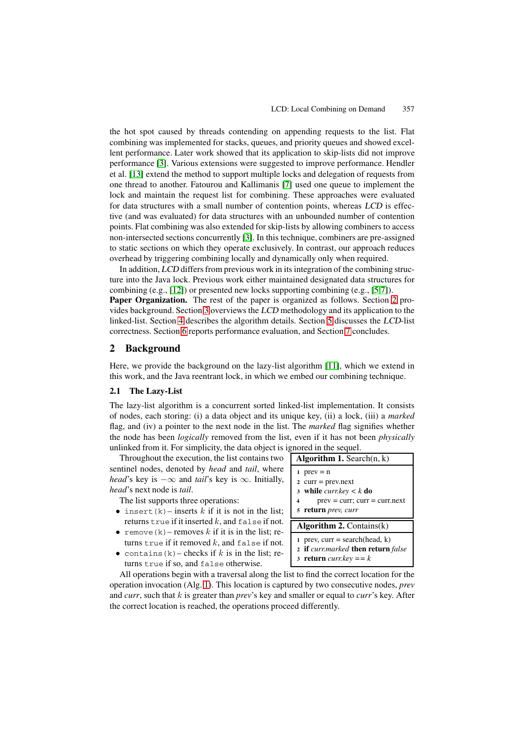the hot spot caused by threads contending on appending requests to the list. Flat combining was implemented for stacks, queues, and priority queues and showed excellent performance. Later work showed that its application to skip-lists did not improve performance [\[3\]](#page-15-7). Various extensions were suggested to improve performance. Hendler et al. [\[13\]](#page-16-1) extend the method to support multiple locks and delegation of requests from one thread to another. Fatourou and Kallimanis [\[7\]](#page-15-3) used one queue to implement the lock and maintain the request list for combining. These approaches were evaluated for data structures with a small number of contention points, whereas LCD is effective (and was evaluated) for data structures with an unbounded number of contention points. Flat combining was also extended for skip-lists by allowing combiners to access non-intersected sections concurrently [\[3\]](#page-15-7). In this technique, combiners are pre-assigned to static sections on which they operate exclusively. In contrast, our approach reduces overhead by triggering combining locally and dynamically only when required.

In addition, LCD differs from previous work in its integration of the combining structure into the Java lock. Previous work either maintained designated data structures for combining  $(e.g., [12])$  $(e.g., [12])$  $(e.g., [12])$  or presented new locks supporting combining  $(e.g., [5,7])$  $(e.g., [5,7])$  $(e.g., [5,7])$  $(e.g., [5,7])$ . **Paper Organization.** The rest of the paper is organized as follows. Section [2](#page-2-0) pro-

vides background. Section [3](#page-4-0) overviews the LCD methodology and its application to the linked-list. Section [4](#page-7-0) describes the algorithm details. Section [5](#page-12-0) discusses the LCD-list correctness. Section [6](#page-13-0) reports performance evaluation, and Section [7](#page-14-0) concludes.

## <span id="page-2-0"></span>**2 Background**

<span id="page-2-3"></span>Here, we provide the background on the lazy-list algorithm [\[11\]](#page-16-3), which we extend in this work, and the Java reentrant lock, in which we embed our combining technique.

## **2.1 The Lazy-List**

The lazy-list algorithm is a concurrent sorted linked-list implementation. It consists of nodes, each storing: (i) a data object and its unique key, (ii) a lock, (iii) a *marked* flag, and (iv) a pointer to the next node in the list. The *marked* flag signifies whether the node has been *logically* removed from the list, even if it has not been *physically* unlinked from it. For simplicity, the data object is ignored in the sequel.

Throughout the execution, the list contains two sentinel nodes, denoted by *head* and *tail*, where *head*'s key is  $-\infty$  and *tail*'s key is  $\infty$ . Initially, *head*'s next node is *tail*.

The list supports three operations:

- insert(k) inserts  $k$  if it is not in the list; returns true if it inserted *k*, and false if not.
- remove  $(k)$  removes k if it is in the list; returns true if it removed *k*, and false if not.
- contains  $(k)$  checks if  $k$  is in the list; returns true if so, and false otherwise.

<span id="page-2-2"></span><span id="page-2-1"></span>

| <b>Algorithm 1.</b> Search $(n, k)$       |  |  |  |  |
|-------------------------------------------|--|--|--|--|
| 1 $prev = n$                              |  |  |  |  |
| $2$ curr = prev.next                      |  |  |  |  |
| 3 while <i>curr.key</i> $< k$ do          |  |  |  |  |
| $prev = curr$ ; $curr = curr.next$<br>4   |  |  |  |  |
| 5 <b>return</b> prev, curr                |  |  |  |  |
| Algorithm 2. Contains $(k)$               |  |  |  |  |
| prev, curr = search(head, k)<br>1         |  |  |  |  |
| 2 if curr.marked <b>then return</b> false |  |  |  |  |
| 3 return <i>curr.key</i> == $k$           |  |  |  |  |
|                                           |  |  |  |  |

All operations begin with a traversal along the list to find the correct location for the operation invocation (Alg. [1\)](#page-2-1). This location is captured by two consecutive nodes, *prev* and *curr*, such that *k* is greater than *prev*'s key and smaller or equal to *curr*'s key. After the correct location is reached, the operations proceed differently.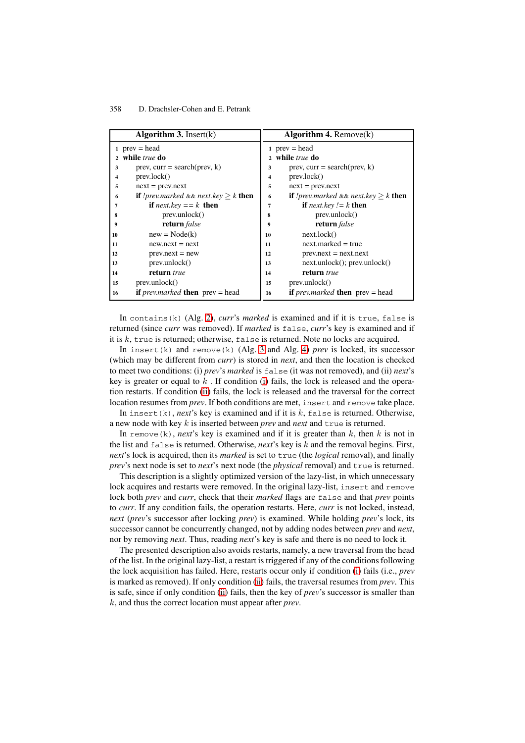<span id="page-3-4"></span>

| <b>Algorithm 3.</b> Insert( $k$ ) |                                                    |                         | <b>Algorithm 4.</b> Remove $(k)$                   |  |
|-----------------------------------|----------------------------------------------------|-------------------------|----------------------------------------------------|--|
| 1 $prev = head$                   |                                                    | 1 $prev = head$         |                                                    |  |
|                                   | 2 while <i>true</i> do                             |                         | 2 while true do                                    |  |
| 3                                 | prev, curr = search(prev, k)                       | 3                       | prev, curr = search(prev, k)                       |  |
| 4                                 | prev, lock()                                       | $\overline{\mathbf{4}}$ | prev, lock()                                       |  |
| 5                                 | $next = prev.next$                                 | 5                       | $next = prev.next$                                 |  |
| 6                                 | <b>if</b> !prev.marked && next.key > k <b>then</b> | 6                       | <b>if</b> !prev.marked && next.key > k <b>then</b> |  |
| 7                                 | if <i>next.key</i> == $k$ then                     | 7                       | if <i>next.key !</i> = $k$ then                    |  |
| 8                                 | $prev.$ unloc $k()$                                | 8                       | $prev.$ unlock $()$                                |  |
| 9                                 | return false                                       | 9                       | return false                                       |  |
| 10                                | $new = Node(k)$                                    | 10                      | nextlock()                                         |  |
| 11                                | $new.next = next$                                  | 11                      | $next্max$ -narked = true                          |  |
| 12                                | $prev.next = new$                                  | 12                      | $prev.next = next.next$                            |  |
| 13                                | $prev.$ unloc $k()$                                | 13                      | $next.$ unlock $()$ ; prev.unlock $()$             |  |
| 14                                | return true                                        | 14                      | return true                                        |  |
| 15                                | $prev.$ unlock()                                   | 15                      | prev.unlock()                                      |  |
| 16                                | <b>if</b> prev.marked <b>then</b> prev = head      | 16                      | if <i>prev.marked</i> then $prev = head$           |  |

<span id="page-3-5"></span><span id="page-3-1"></span><span id="page-3-0"></span>In contains(k) (Alg. [2\)](#page-2-2), *curr*'s *marked* is examined and if it is true, false is returned (since *curr* was removed). If *marked* is false, *curr*'s key is examined and if it is *k*, true is returned; otherwise, false is returned. Note no locks are acquired.

<span id="page-3-3"></span><span id="page-3-2"></span>In insert(k) and remove(k) (Alg. [3](#page-3-0) and Alg. [4\)](#page-3-1) *prev* is locked, its successor (which may be different from *curr*) is stored in *next*, and then the location is checked to meet two conditions: (i) *prev*'s *marked* is false (it was not removed), and (ii) *next*'s key is greater or equal to *k* . If condition [\(i\)](#page-3-2) fails, the lock is released and the operation restarts. If condition [\(ii\)](#page-3-3) fails, the lock is released and the traversal for the correct location resumes from *prev*. If both conditions are met, insert and remove take place.

In insert(k), *next*'s key is examined and if it is *k*, false is returned. Otherwise, a new node with key *k* is inserted between *prev* and *next* and true is returned.

In remove(k), *next*'s key is examined and if it is greater than *k*, then *k* is not in the list and false is returned. Otherwise, *next*'s key is *k* and the removal begins. First, *next*'s lock is acquired, then its *marked* is set to true (the *logical* removal), and finally *prev*'s next node is set to *next*'s next node (the *physical* removal) and true is returned.

This description is a slightly optimized version of the lazy-list, in which unnecessary lock acquires and restarts were removed. In the original lazy-list, insert and remove lock both *prev* and *curr*, check that their *marked* flags are false and that *prev* points to *curr*. If any condition fails, the operation restarts. Here, *curr* is not locked, instead, *next* (*prev*'s successor after locking *prev*) is examined. While holding *prev*'s lock, its successor cannot be concurrently changed, not by adding nodes between *prev* and *next*, nor by removing *next*. Thus, reading *next*'s key is safe and there is no need to lock it.

The presented description also avoids restarts, namely, a new traversal from the head of the list. In the original lazy-list, a restart is triggered if any of the conditions following the lock acquisition has failed. Here, restarts occur only if condition [\(i\)](#page-3-2) fails (i.e., *prev* is marked as removed). If only condition [\(ii\)](#page-3-3) fails, the traversal resumes from *prev*. This is safe, since if only condition [\(ii\)](#page-3-3) fails, then the key of *prev*'s successor is smaller than *k*, and thus the correct location must appear after *prev*.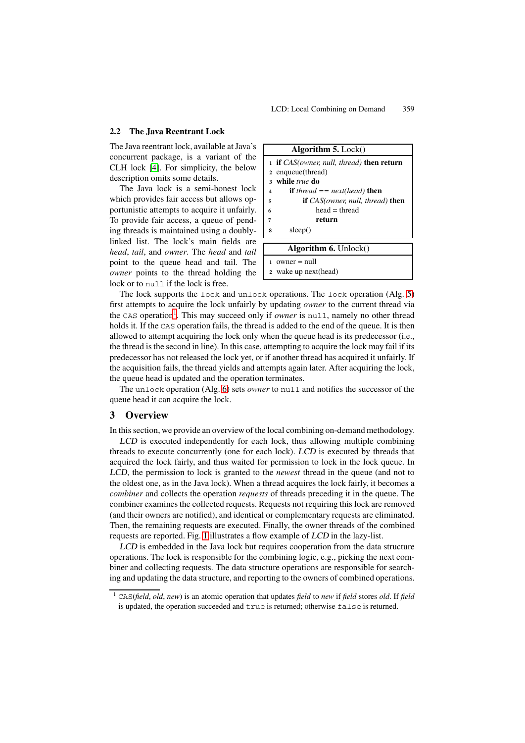## **2.2 The Java Reentrant Lock**

The Java reentrant lock, available at Java's concurrent package, is a variant of the CLH lock [\[4\]](#page-15-8). For simplicity, the below description omits some details.

The Java lock is a semi-honest lock which provides fair access but allows opportunistic attempts to acquire it unfairly. To provide fair access, a queue of pending threads is maintained using a doublylinked list. The lock's main fields are *head*, *tail*, and *owner*. The *head* and *tail* point to the queue head and tail. The *owner* points to the thread holding the lock or to null if the lock is free.

<span id="page-4-3"></span><span id="page-4-1"></span>

The lock supports the lock and unlock operations. The lock operation (Alg. [5\)](#page-4-1) first attempts to acquire the lock unfairly by updating *owner* to the current thread via the CAS operation<sup>[1](#page-4-2)</sup>. This may succeed only if *owner* is null, namely no other thread holds it. If the CAS operation fails, the thread is added to the end of the queue. It is then allowed to attempt acquiring the lock only when the queue head is its predecessor (i.e., the thread is the second in line). In this case, attempting to acquire the lock may fail if its predecessor has not released the lock yet, or if another thread has acquired it unfairly. If the acquisition fails, the thread yields and attempts again later. After acquiring the lock, the queue head is updated and the operation terminates.

<span id="page-4-0"></span>The unlock operation (Alg. [6\)](#page-4-3) sets *owner* to null and notifies the successor of the queue head it can acquire the lock.

## **3 Overview**

In this section, we provide an overview of the local combining on-demand methodology.

LCD is executed independently for each lock, thus allowing multiple combining threads to execute concurrently (one for each lock). LCD is executed by threads that acquired the lock fairly, and thus waited for permission to lock in the lock queue. In LCD, the permission to lock is granted to the *newest* thread in the queue (and not to the oldest one, as in the Java lock). When a thread acquires the lock fairly, it becomes a *combiner* and collects the operation *requests* of threads preceding it in the queue. The combiner examines the collected requests. Requests not requiring this lock are removed (and their owners are notified), and identical or complementary requests are eliminated. Then, the remaining requests are executed. Finally, the owner threads of the combined requests are reported. Fig. [1](#page-5-0) illustrates a flow example of LCD in the lazy-list.

LCD is embedded in the Java lock but requires cooperation from the data structure operations. The lock is responsible for the combining logic, e.g., picking the next combiner and collecting requests. The data structure operations are responsible for searching and updating the data structure, and reporting to the owners of combined operations.

<span id="page-4-2"></span><sup>1</sup> CAS(*field*, *old*, *new*) is an atomic operation that updates *field* to *new* if *field* stores *old*. If *field* is updated, the operation succeeded and true is returned; otherwise false is returned.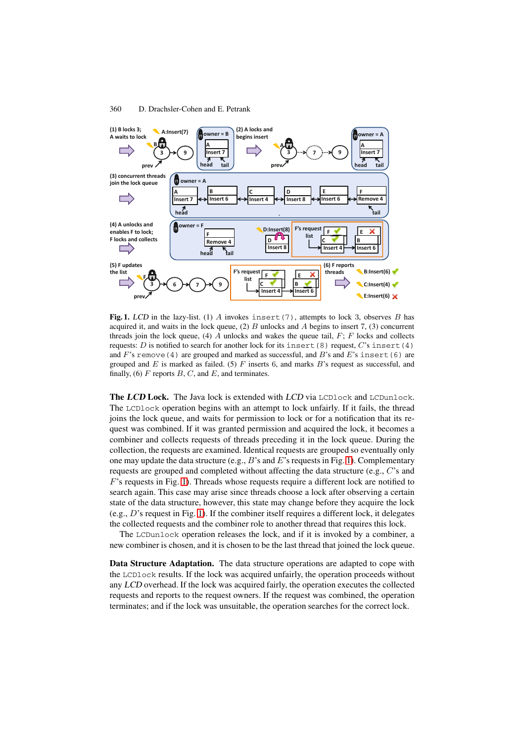<span id="page-5-0"></span>

**Fig. 1.** LCD in the lazy-list. (1) *A* invokes insert(7), attempts to lock 3, observes *B* has acquired it, and waits in the lock queue, (2) *B* unlocks and *A* begins to insert 7, (3) concurrent threads join the lock queue, (4)  $\hat{A}$  unlocks and wakes the queue tail,  $F$ ;  $\hat{F}$  locks and collects requests: *D* is notified to search for another lock for its insert(8) request, *C*'s insert(4) and *F*'s remove(4) are grouped and marked as successful, and *B*'s and *E*'s insert(6) are grouped and *E* is marked as failed. (5) *F* inserts 6, and marks *B*'s request as successful, and finally, (6) *F* reports *B*, *C*, and *E*, and terminates.

**The LCD Lock.** The Java lock is extended with LCD via LCDlock and LCDunlock. The LCDlock operation begins with an attempt to lock unfairly. If it fails, the thread joins the lock queue, and waits for permission to lock or for a notification that its request was combined. If it was granted permission and acquired the lock, it becomes a combiner and collects requests of threads preceding it in the lock queue. During the collection, the requests are examined. Identical requests are grouped so eventually only one may update the data structure (e.g., *B*'s and *E*'s requests in Fig. [1\)](#page-5-0). Complementary requests are grouped and completed without affecting the data structure (e.g., *C*'s and *F*'s requests in Fig. [1\)](#page-5-0). Threads whose requests require a different lock are notified to search again. This case may arise since threads choose a lock after observing a certain state of the data structure, however, this state may change before they acquire the lock (e.g., *D*'s request in Fig. [1\)](#page-5-0). If the combiner itself requires a different lock, it delegates the collected requests and the combiner role to another thread that requires this lock.

The LCDunlock operation releases the lock, and if it is invoked by a combiner, a new combiner is chosen, and it is chosen to be the last thread that joined the lock queue.

**Data Structure Adaptation.** The data structure operations are adapted to cope with the LCDlock results. If the lock was acquired unfairly, the operation proceeds without any LCD overhead. If the lock was acquired fairly, the operation executes the collected requests and reports to the request owners. If the request was combined, the operation terminates; and if the lock was unsuitable, the operation searches for the correct lock.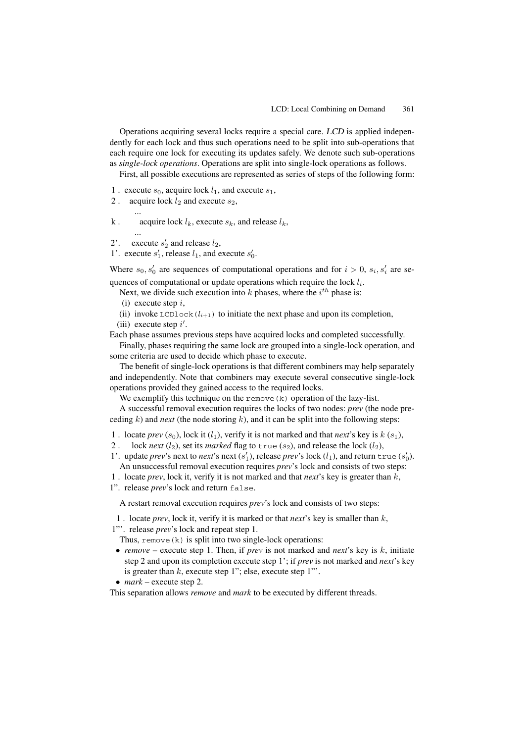Operations acquiring several locks require a special care. LCD is applied independently for each lock and thus such operations need to be split into sub-operations that each require one lock for executing its updates safely. We denote such sub-operations as *single-lock operations*. Operations are split into single-lock operations as follows.

First, all possible executions are represented as series of steps of the following form:

- 1 . execute  $s_0$ , acquire lock  $l_1$ , and execute  $s_1$ ,
- 2 . acquire lock *l*<sup>2</sup> and execute *s*2,
- k . acquire lock  $l_k$ , execute  $s_k$ , and release  $l_k$ ,
- 2'. execute  $s_2'$  and release  $l_2$ ,
- 1'. execute  $s'_1$ , release  $l_1$ , and execute  $s'_0$ .

Where  $s_0, s'_0$  are sequences of computational operations and for  $i > 0$ ,  $s_i, s'_i$  are se-

quences of computational or update operations which require the lock *li*.

- Next, we divide such execution into *k* phases, where the *i th* phase is:
- (i) execute step *i*,
- (ii) invoke LCDlock  $(l_{i+1})$  to initiate the next phase and upon its completion,
- (iii) execute step  $i'$ .

...

...

Each phase assumes previous steps have acquired locks and completed successfully.

Finally, phases requiring the same lock are grouped into a single-lock operation, and some criteria are used to decide which phase to execute.

The benefit of single-lock operations is that different combiners may help separately and independently. Note that combiners may execute several consecutive single-lock operations provided they gained access to the required locks.

We exemplify this technique on the remove  $(k)$  operation of the lazy-list.

A successful removal execution requires the locks of two nodes: *prev* (the node preceding *k*) and *next* (the node storing *k*), and it can be split into the following steps:

1 . locate *prev*  $(s_0)$ , lock it  $(l_1)$ , verify it is not marked and that *next*'s key is  $k(s_1)$ ,

- 2 . lock *next*  $(l_2)$ , set its *marked* flag to true  $(s_2)$ , and release the lock  $(l_2)$ ,
- 1'. update *prev*'s next to *next*'s next  $(s'_1)$ , release *prev*'s lock  $(l_1)$ , and return true  $(s'_0)$ . An unsuccessful removal execution requires *prev*'s lock and consists of two steps:
- 1 . locate *prev*, lock it, verify it is not marked and that *next*'s key is greater than *k*,
- 1". release *prev*'s lock and return false.

A restart removal execution requires *prev*'s lock and consists of two steps:

1 . locate *prev*, lock it, verify it is marked or that *next*'s key is smaller than *k*,

1"'. release *prev*'s lock and repeat step 1.

Thus,  $\text{remove}(k)$  is split into two single-lock operations:

- *remove* execute step 1. Then, if *prev* is not marked and *next*'s key is  $k$ , initiate step 2 and upon its completion execute step 1'; if *prev* is not marked and *next*'s key is greater than *k*, execute step 1"; else, execute step 1"'.
- *mark* execute step 2.

This separation allows *remove* and *mark* to be executed by different threads.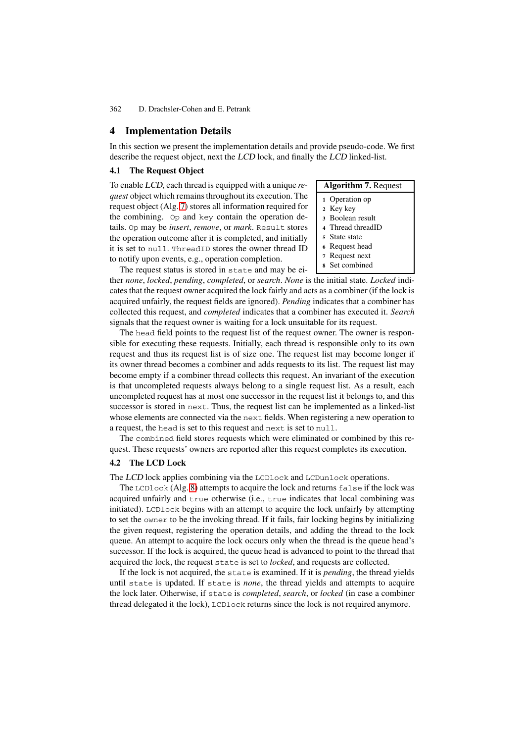# <span id="page-7-0"></span>**4 Implementation Details**

In this section we present the implementation details and provide pseudo-code. We first describe the request object, next the LCD lock, and finally the LCD linked-list.

## **4.1 The Request Object**

To enable LCD, each thread is equipped with a unique *request* object which remains throughout its execution. The request object (Alg. [7\)](#page-7-1) stores all information required for the combining. Op and key contain the operation details. Op may be *insert*, *remove*, or *mark*. Result stores the operation outcome after it is completed, and initially it is set to null. ThreadID stores the owner thread ID to notify upon events, e.g., operation completion.

## **Algorithm 7.** Request

- **<sup>1</sup>** Operation op
- **<sup>2</sup>** Key key
- **<sup>3</sup>** Boolean result
- **<sup>4</sup>** Thread threadID
- **<sup>5</sup>** State state
- **<sup>6</sup>** Request head
- **<sup>7</sup>** Request next
- <span id="page-7-1"></span>**<sup>8</sup>** Set combined

The request status is stored in state and may be either *none*, *locked*, *pending*, *completed*, or *search*. *None* is the initial state. *Locked* indicates that the request owner acquired the lock fairly and acts as a combiner (if the lock is acquired unfairly, the request fields are ignored). *Pending* indicates that a combiner has collected this request, and *completed* indicates that a combiner has executed it. *Search* signals that the request owner is waiting for a lock unsuitable for its request.

The head field points to the request list of the request owner. The owner is responsible for executing these requests. Initially, each thread is responsible only to its own request and thus its request list is of size one. The request list may become longer if its owner thread becomes a combiner and adds requests to its list. The request list may become empty if a combiner thread collects this request. An invariant of the execution is that uncompleted requests always belong to a single request list. As a result, each uncompleted request has at most one successor in the request list it belongs to, and this successor is stored in next. Thus, the request list can be implemented as a linked-list whose elements are connected via the next fields. When registering a new operation to a request, the head is set to this request and next is set to null.

The combined field stores requests which were eliminated or combined by this request. These requests' owners are reported after this request completes its execution.

# **4.2 The LCD Lock**

The LCD lock applies combining via the LCDlock and LCDunlock operations.

The LCDlock (Alg. [8\)](#page-8-0) attempts to acquire the lock and returns false if the lock was acquired unfairly and true otherwise (i.e., true indicates that local combining was initiated). LCDlock begins with an attempt to acquire the lock unfairly by attempting to set the owner to be the invoking thread. If it fails, fair locking begins by initializing the given request, registering the operation details, and adding the thread to the lock queue. An attempt to acquire the lock occurs only when the thread is the queue head's successor. If the lock is acquired, the queue head is advanced to point to the thread that acquired the lock, the request state is set to *locked*, and requests are collected.

If the lock is not acquired, the state is examined. If it is *pending*, the thread yields until state is updated. If state is *none*, the thread yields and attempts to acquire the lock later. Otherwise, if state is *completed*, *search*, or *locked* (in case a combiner thread delegated it the lock), LCDlock returns since the lock is not required anymore.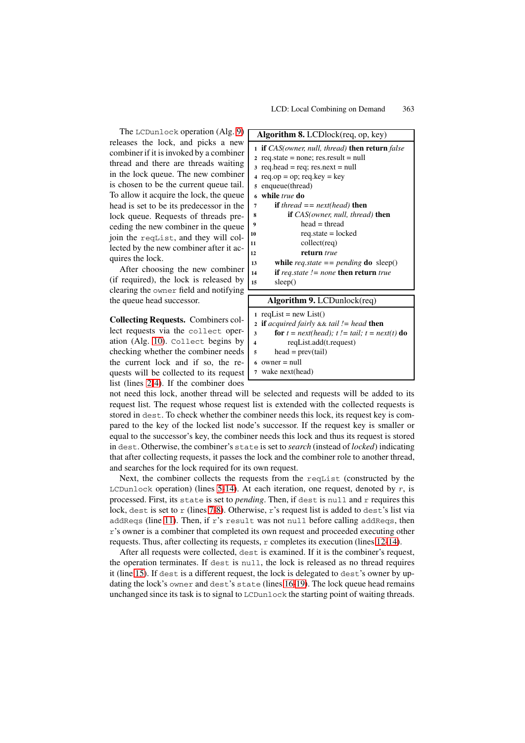The LCDunlock operation (Alg. [9\)](#page-8-1) releases the lock, and picks a new combiner if it is invoked by a combiner thread and there are threads waiting in the lock queue. The new combiner is chosen to be the current queue tail. To allow it acquire the lock, the queue head is set to be its predecessor in the lock queue. Requests of threads preceding the new combiner in the queue join the reqList, and they will collected by the new combiner after it acquires the lock.

After choosing the new combiner (if required), the lock is released by clearing the owner field and notifying the queue head successor.

**Collecting Requests.** Combiners collect requests via the collect operation (Alg. [10\)](#page-9-0). Collect begins by checking whether the combiner needs the current lock and if so, the requests will be collected to its request list (lines [2-](#page-9-1)[4\)](#page-9-2). If the combiner does



<span id="page-8-0"></span>**<sup>4</sup>** reqList.add(t.request)  $5$  head = prev(tail)

 $6$  owner = null

<span id="page-8-1"></span>**<sup>7</sup>** wake next(head)

not need this lock, another thread will be selected and requests will be added to its request list. The request whose request list is extended with the collected requests is stored in dest. To check whether the combiner needs this lock, its request key is compared to the key of the locked list node's successor. If the request key is smaller or equal to the successor's key, the combiner needs this lock and thus its request is stored in dest. Otherwise, the combiner's state is set to *search* (instead of *locked*) indicating that after collecting requests, it passes the lock and the combiner role to another thread, and searches for the lock required for its own request.

Next, the combiner collects the requests from the reqList (constructed by the LCDunlock operation) (lines  $5-14$ ). At each iteration, one request, denoted by  $r$ , is processed. First, its state is set to *pending*. Then, if dest is null and r requires this lock, dest is set to  $r$  (lines [7-](#page-9-5)[8\)](#page-9-6). Otherwise, r's request list is added to dest's list via addReqs (line [11\)](#page-9-7). Then, if r's result was not null before calling addReqs, then r's owner is a combiner that completed its own request and proceeded executing other requests. Thus, after collecting its requests,  $r$  completes its execution (lines [12](#page-9-8)[-14\)](#page-9-4).

After all requests were collected, dest is examined. If it is the combiner's request, the operation terminates. If dest is null, the lock is released as no thread requires it (line [15\)](#page-9-9). If dest is a different request, the lock is delegated to dest's owner by updating the lock's owner and dest's state (lines [16-](#page-9-10)[19\)](#page-9-11). The lock queue head remains unchanged since its task is to signal to LCDunlock the starting point of waiting threads.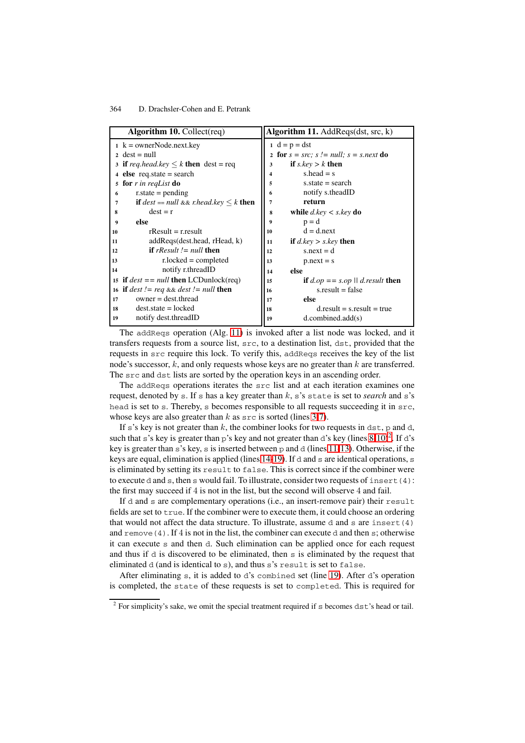<span id="page-9-16"></span><span id="page-9-15"></span><span id="page-9-14"></span><span id="page-9-13"></span><span id="page-9-6"></span><span id="page-9-5"></span><span id="page-9-3"></span><span id="page-9-2"></span><span id="page-9-1"></span>

| Algorithm $10$ . Collect(req) |                                                           |                  | <b>Algorithm 11.</b> AddReqs(dst, src, k)                                        |
|-------------------------------|-----------------------------------------------------------|------------------|----------------------------------------------------------------------------------|
|                               | $1 \text{ k}$ = ownerNode.next.key                        |                  | $1 \text{ d} = p = \text{dst}$                                                   |
|                               | 2 dest $=$ null                                           |                  | 2 for $s = src$ ; $s != null$ ; $s = s.next$ do                                  |
|                               | 3 if req.head.key $\leq k$ then dest = req                | 3                | if s.key > k then                                                                |
|                               | 4 else req.state = search                                 | 4                | s.head $=$ s                                                                     |
| 5                             | for $r$ in regList do                                     | 5                | $s. state = search$                                                              |
| 6                             | r.state = pending                                         | 6                | notify s.theadID                                                                 |
| 7                             | <b>if</b> dest == null && r.head.key $\leq k$ <b>then</b> | 7                | return                                                                           |
| 8                             | $dest = r$                                                | 8                | while $d \text{.} key < s \text{.} key \textbf{ do}$                             |
| 9                             | else                                                      | $\boldsymbol{9}$ | $p = d$                                                                          |
| 10                            | $rResult = r.readit$                                      | 10               | $d = d.next$                                                                     |
| 11                            | addReqs(dest.head, rHead, k)                              | 11               | if $d \text{.} key > s \text{.} key$ then                                        |
| 12                            | <b>if</b> rResult $!=$ null then                          | 12               | s.next = $d$                                                                     |
| 13                            | $r.\nlocked = completed$                                  | 13               | $p.next = s$                                                                     |
| 14                            | notify r.threadID                                         | 14               | else                                                                             |
| 15                            | <b>if</b> $dest == null$ <b>then</b> LCDunlock(req)       | 15               | <b>if</b> $d$ . <i>op</i> == <i>s.op</i> $\parallel$ <i>d.result</i> <b>then</b> |
| 16                            | <b>if</b> dest $!=$ req && dest $!=$ null <b>then</b>     | 16               | s. result = $false$                                                              |
| 17                            | $owner = dest. thread$                                    | 17               | else                                                                             |
| 18                            | $dest.state = locked$                                     | 18               | $d$ result = s result = true                                                     |
| 19                            | notify dest.threadID                                      | 19               | $d$ .combined.add $(s)$                                                          |

<span id="page-9-23"></span><span id="page-9-22"></span><span id="page-9-21"></span><span id="page-9-20"></span><span id="page-9-19"></span><span id="page-9-18"></span><span id="page-9-12"></span><span id="page-9-11"></span><span id="page-9-10"></span><span id="page-9-9"></span><span id="page-9-8"></span><span id="page-9-7"></span><span id="page-9-4"></span><span id="page-9-0"></span>The addReqs operation (Alg. [11\)](#page-9-12) is invoked after a list node was locked, and it transfers requests from a source list, src, to a destination list, dst, provided that the requests in src require this lock. To verify this, addReqs receives the key of the list node's successor, *k*, and only requests whose keys are no greater than *k* are transferred. The src and dst lists are sorted by the operation keys in an ascending order.

The addReqs operations iterates the src list and at each iteration examines one request, denoted by s. If s has a key greater than  $k$ , s's state is set to *search* and s's head is set to s. Thereby, s becomes responsible to all requests succeeding it in src, whose keys are also greater than *k* as src is sorted (lines [3-](#page-9-13)[7\)](#page-9-14).

If s's key is not greater than  $k$ , the combiner looks for two requests in  $dst$ , p and  $d$ , such that s's key is greater than p's key and not greater than d's key (lines  $8-10$ )<sup>[2](#page-9-17)</sup>. If d's key is greater than s's key, s is inserted between p and d (lines [11-](#page-9-18)[13\)](#page-9-19). Otherwise, if the keys are equal, elimination is applied (lines  $14-19$ ). If d and s are identical operations, s is eliminated by setting its result to false. This is correct since if the combiner were to execute d and s, then s would fail. To illustrate, consider two requests of insert  $(4)$ : the first may succeed if 4 is not in the list, but the second will observe 4 and fail.

If d and s are complementary operations (i.e., an insert-remove pair) their result fields are set to true. If the combiner were to execute them, it could choose an ordering that would not affect the data structure. To illustrate, assume  $d$  and  $s$  are insert (4) and remove  $(4)$ . If 4 is not in the list, the combiner can execute d and then s; otherwise it can execute s and then d. Such elimination can be applied once for each request and thus if  $d$  is discovered to be eliminated, then s is eliminated by the request that eliminated d (and is identical to s), and thus s's result is set to false.

After eliminating s, it is added to d's combined set (line [19\)](#page-9-21). After d's operation is completed, the state of these requests is set to completed. This is required for

<span id="page-9-17"></span> $2$  For simplicity's sake, we omit the special treatment required if s becomes dst's head or tail.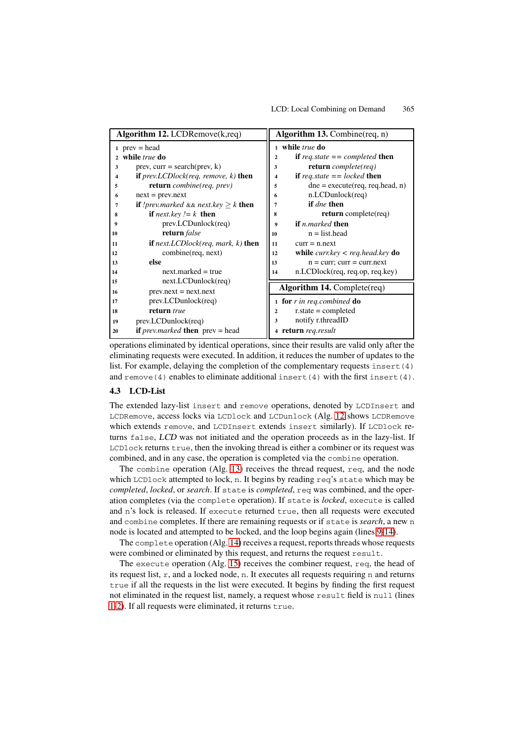<span id="page-10-5"></span><span id="page-10-2"></span>

| Algorithm 12. LCDRemove $(k, \text{req})$   |                                                                                                                                                                                                                                                                                                                                                                                                 | <b>Algorithm 13.</b> Combine(req, n)                        |                                                                                                                                                                                                                                                                                                                                                            |
|---------------------------------------------|-------------------------------------------------------------------------------------------------------------------------------------------------------------------------------------------------------------------------------------------------------------------------------------------------------------------------------------------------------------------------------------------------|-------------------------------------------------------------|------------------------------------------------------------------------------------------------------------------------------------------------------------------------------------------------------------------------------------------------------------------------------------------------------------------------------------------------------------|
| 3<br>4<br>5<br>6<br>7<br>8<br>9<br>10<br>11 | 1 $prev = head$<br>2 while true do<br>$prev$ , curr = search( $prev$ , k)<br><b>if</b> prev.LCDlock(req, remove, k) <b>then</b><br><b>return</b> <i>combine(req, prev)</i><br>$next = prev.next$<br><b>if</b> !prev.marked && next.key $\geq k$ <b>then</b><br><b>if</b> next key $!= k$ <b>then</b><br>prev.LCDunlock(req)<br>return false<br><b>if</b> next.LCDlock(req, mark, k) <b>then</b> | $\mathbf{2}$<br>3<br>4<br>5<br>6<br>7<br>8<br>9<br>10<br>11 | 1 while <i>true</i> do<br><b>if</b> req.state $==$ completed <b>then</b><br><b>return</b> <i>complete(req)</i><br><b>if</b> req.state $==$ locked <b>then</b><br>$dne = execute(req, req, head, n)$<br>n.LCDunlock (req)<br>if $\textit{dne}$ then<br>return complete (req)<br><b>if</b> <i>n.marked</i> <b>then</b><br>$n =$ list head<br>$curr = n.next$ |
| 12<br>13<br>14                              | combine(req, next)<br>else<br>$next্$ marked = true                                                                                                                                                                                                                                                                                                                                             | 12<br>13<br>14                                              | while curr.key $\langle$ req.head.key do<br>$n = \text{curr}$ ; curr = curr.next<br>n.LCDlock(req, req.op, req.key)                                                                                                                                                                                                                                        |
| 15                                          | next.LCDunlock (req)                                                                                                                                                                                                                                                                                                                                                                            |                                                             | Algorithm $14.$ Complete(req)                                                                                                                                                                                                                                                                                                                              |
| 16<br>17<br>18<br>19                        | $prev.next = next.next$<br>prev.LCDunlock (req)<br>return true<br>prev.LCDunlock (req)                                                                                                                                                                                                                                                                                                          | 2<br>3                                                      | 1 for r in req.combined do<br>$r.\text{state} = \text{completed}$<br>notify r.threadID                                                                                                                                                                                                                                                                     |
| 20                                          | <b>if</b> prev.marked <b>then</b> prev = head                                                                                                                                                                                                                                                                                                                                                   |                                                             | 4 <b>return</b> reg.result                                                                                                                                                                                                                                                                                                                                 |

<span id="page-10-7"></span><span id="page-10-6"></span><span id="page-10-4"></span><span id="page-10-3"></span><span id="page-10-1"></span><span id="page-10-0"></span>operations eliminated by identical operations, since their results are valid only after the eliminating requests were executed. In addition, it reduces the number of updates to the list. For example, delaying the completion of the complementary requests insert (4) and remove (4) enables to eliminate additional insert (4) with the first insert (4).

## **4.3 LCD-List**

The extended lazy-list insert and remove operations, denoted by LCDInsert and LCDRemove, access locks via LCDlock and LCDunlock (Alg. [12](#page-10-0) shows LCDRemove which extends remove, and LCDInsert extends insert similarly). If LCDlock returns false, LCD was not initiated and the operation proceeds as in the lazy-list. If LCDlock returns true, then the invoking thread is either a combiner or its request was combined, and in any case, the operation is completed via the combine operation.

The combine operation (Alg. [13\)](#page-10-1) receives the thread request, req, and the node which LCDlock attempted to lock, n. It begins by reading req's state which may be *completed*, *locked*, or *search*. If state is *completed*, req was combined, and the operation completes (via the complete operation). If state is *locked*, execute is called and n's lock is released. If execute returned true, then all requests were executed and combine completes. If there are remaining requests or if state is *search*, a new n node is located and attempted to be locked, and the loop begins again (lines [9](#page-10-2)[-14\)](#page-10-3).

The complete operation (Alg. [14\)](#page-10-4) receives a request, reports threads whose requests were combined or eliminated by this request, and returns the request result.

The execute operation (Alg. [15\)](#page-11-0) receives the combiner request, req, the head of its request list, r, and a locked node, n. It executes all requests requiring n and returns true if all the requests in the list were executed. It begins by finding the first request not eliminated in the request list, namely, a request whose result field is null (lines [1-](#page-11-1)[2\)](#page-11-2). If all requests were eliminated, it returns true.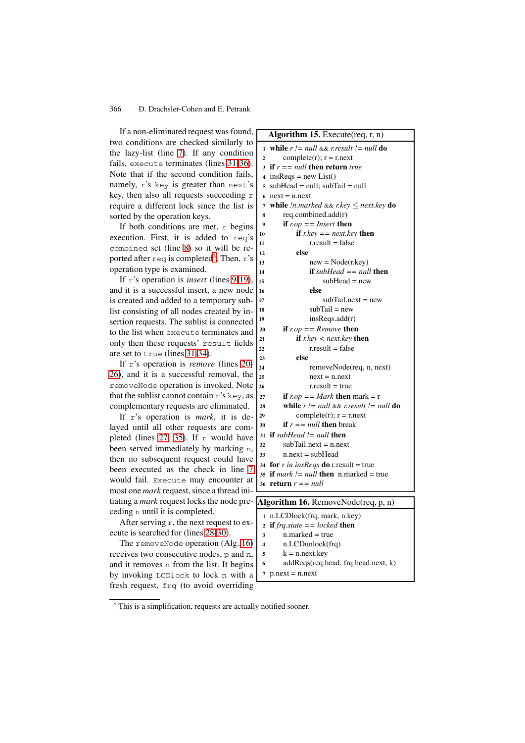If a non-eliminated request was found, two conditions are checked similarly to the lazy-list (line [7\)](#page-11-3). If any condition fails, execute terminates (lines [31-](#page-11-4)[36\)](#page-11-5). Note that if the second condition fails, namely, r's key is greater than next's key, then also all requests succeeding r require a different lock since the list is sorted by the operation keys.

If both conditions are met,  $r$  begins execution. First, it is added to req's combined set (line [8\)](#page-11-6) so it will be re-ported after req is completed<sup>[3](#page-11-7)</sup>. Then, r's operation type is examined.

If r's operation is *insert* (lines [9-](#page-11-8)[19\)](#page-11-9), and it is a successful insert, a new node is created and added to a temporary sublist consisting of all nodes created by insertion requests. The sublist is connected to the list when execute terminates and only then these requests' result fields are set to true (lines [31](#page-11-4)[-34\)](#page-11-10).

<span id="page-11-19"></span><span id="page-11-11"></span>If r's operation is *remove* (lines [20-](#page-11-11) [26\)](#page-11-12), and it is a successful removal, the removeNode operation is invoked. Note that the sublist cannot contain  $r$ 's key, as complementary requests are eliminated.

If r's operation is *mark*, it is delayed until all other requests are com-pleted (lines [27,](#page-11-13) [35\)](#page-11-14). If  $r$  would have been served immediately by marking n, then no subsequent request could have been executed as the check in line [7](#page-11-3) would fail. Execute may encounter at most one *mark* request, since a thread initiating a *mark* request locks the node preceding n until it is completed.

After serving  $r$ , the next request to execute is searched for (lines [28](#page-11-15)[-30\)](#page-11-16).

The removeNode operation (Alg. [16\)](#page-11-17) receives two consecutive nodes, p and n, and it removes n from the list. It begins by invoking LCDlock to lock n with a fresh request, frq (to avoid overriding

```
Algorithm 15. Execute(req, r, n)
   1 while r != null && r.result != null do
 2 complete(r); r = r.next3 if r == null then return true
 4 insReqs = new List()
 5 \text{ subHead} = \text{null}; \text{subTail} = \text{null}6 next = n.next
 7 while !n.marked && r.key ≤ next.key do
      8 req.combined.add(r)
      9 if r.op == Insert then
 10 if r \text{.} key == next \text{.} key then
11 r.result = false
12 else
13 new = Node(r.key)14 if subHead == null then
15 subHead = new
16 else
17 subTail.next = new
18 subTail = new
19 insReqs.add(r)
20 if r.op == Remove then
21 if r.key < next.key then
22 r.result = false
23 else
24 removeNode(req, n, next)
25 next = n.next
26 r.result = true
27 if r.op = Mark <b>then mark = r
28 while r != null && r.result != null do
29 complete(r); r = r.next30 if r == null then break
31 if subHead != null then
       32 subTail.next = n.next
       33 n.next = subHead
 34 for r in insReqs do r.result = true
 35 if mark \neq null then n.marked = true
 36 return r == null
Algorithm 16. RemoveNode(req, p, n)
 1 n.LCDlock(frq, mark, n.key)
 2 if frq.state == locked then
```
<span id="page-11-21"></span><span id="page-11-20"></span><span id="page-11-17"></span><span id="page-11-16"></span><span id="page-11-15"></span><span id="page-11-14"></span><span id="page-11-13"></span><span id="page-11-12"></span><span id="page-11-10"></span><span id="page-11-5"></span><span id="page-11-4"></span><span id="page-11-0"></span> n.marked = true n.LCDunlock(frq)  $k = n.next.$ **key**  addReqs(req.head, frq.head.next, k) p.next = n.next

<span id="page-11-7"></span><sup>&</sup>lt;sup>3</sup> This is a simplification, requests are actually notified sooner.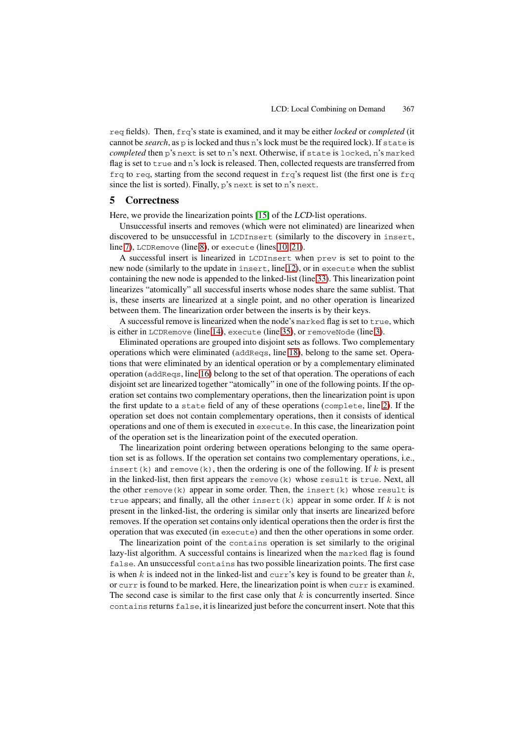req fields). Then, frq's state is examined, and it may be either *locked* or *completed* (it cannot be *search*, as p is locked and thus n's lock must be the required lock). If state is *completed* then p's next is set to n's next. Otherwise, if state is locked, n's marked flag is set to true and n's lock is released. Then, collected requests are transferred from frq to req, starting from the second request in frq's request list (the first one is frq since the list is sorted). Finally, p's next is set to n's next.

# <span id="page-12-0"></span>**5 Correctness**

Here, we provide the linearization points [\[15\]](#page-16-9) of the *LCD*-list operations.

Unsuccessful inserts and removes (which were not eliminated) are linearized when discovered to be unsuccessful in LCDInsert (similarly to the discovery in insert, line [7\)](#page-3-4), LCDRemove (line [8\)](#page-10-5), or execute (lines [10,](#page-11-18) [21\)](#page-11-19).

A successful insert is linearized in LCDInsert when prev is set to point to the new node (similarly to the update in insert, line [12\)](#page-3-5), or in execute when the sublist containing the new node is appended to the linked-list (line [33\)](#page-11-20). This linearization point linearizes "atomically" all successful inserts whose nodes share the same sublist. That is, these inserts are linearized at a single point, and no other operation is linearized between them. The linearization order between the inserts is by their keys.

A successful remove is linearized when the node's marked flag is set to true, which is either in LCDRemove (line [14\)](#page-10-6), execute (line [35\)](#page-11-14), or removeNode (line [3\)](#page-11-21).

Eliminated operations are grouped into disjoint sets as follows. Two complementary operations which were eliminated (addReqs, line [18\)](#page-9-22), belong to the same set. Operations that were eliminated by an identical operation or by a complementary eliminated operation (addReqs, line [16\)](#page-9-23) belong to the set of that operation. The operations of each disjoint set are linearized together "atomically" in one of the following points. If the operation set contains two complementary operations, then the linearization point is upon the first update to a state field of any of these operations (complete, line [2\)](#page-10-7). If the operation set does not contain complementary operations, then it consists of identical operations and one of them is executed in execute. In this case, the linearization point of the operation set is the linearization point of the executed operation.

The linearization point ordering between operations belonging to the same operation set is as follows. If the operation set contains two complementary operations, i.e., insert(k) and remove(k), then the ordering is one of the following. If  $k$  is present in the linked-list, then first appears the remove  $(k)$  whose result is true. Next, all the other remove(k) appear in some order. Then, the insert(k) whose result is true appears; and finally, all the other insert(k) appear in some order. If *k* is not present in the linked-list, the ordering is similar only that inserts are linearized before removes. If the operation set contains only identical operations then the order is first the operation that was executed (in execute) and then the other operations in some order.

The linearization point of the contains operation is set similarly to the original lazy-list algorithm. A successful contains is linearized when the marked flag is found false. An unsuccessful contains has two possible linearization points. The first case is when *k* is indeed not in the linked-list and curr's key is found to be greater than *k*, or curr is found to be marked. Here, the linearization point is when curr is examined. The second case is similar to the first case only that *k* is concurrently inserted. Since contains returns false, it is linearized just before the concurrent insert. Note that this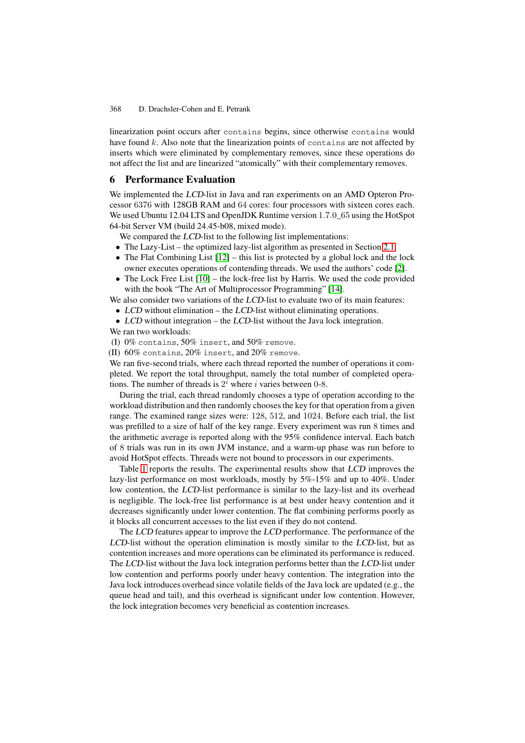linearization point occurs after contains begins, since otherwise contains would have found *k*. Also note that the linearization points of contains are not affected by inserts which were eliminated by complementary removes, since these operations do not affect the list and are linearized "atomically" with their complementary removes.

## <span id="page-13-0"></span>**6 Performance Evaluation**

We implemented the LCD-list in Java and ran experiments on an AMD Opteron Processor 6376 with 128GB RAM and 64 cores: four processors with sixteen cores each. We used Ubuntu 12.04 LTS and OpenJDK Runtime version 1*.*7*.*0\_65 using the HotSpot 64-bit Server VM (build 24.45-b08, mixed mode).

We compared the *LCD*-list to the following list implementations:

- The Lazy-List the optimized lazy-list algorithm as presented in Section [2.1.](#page-2-3)
- The Flat Combining List  $[12]$  this list is protected by a global lock and the lock owner executes operations of contending threads. We used the authors' code [\[2\]](#page-15-9).
- The Lock Free List [\[10\]](#page-15-5) the lock-free list by Harris. We used the code provided with the book "The Art of Multiprocessor Programming" [\[14\]](#page-16-10).

We also consider two variations of the *LCD*-list to evaluate two of its main features:

- LCD without elimination the LCD-list without eliminating operations.
- LCD without integration the LCD-list without the Java lock integration. We ran two workloads:
- (I) 0% contains, 50% insert, and 50% remove.
- (II) 60% contains, 20% insert, and 20% remove.

We ran five-second trials, where each thread reported the number of operations it completed. We report the total throughput, namely the total number of completed operations. The number of threads is 2*<sup>i</sup>* where *i* varies between 0-8.

During the trial, each thread randomly chooses a type of operation according to the workload distribution and then randomly chooses the key for that operation from a given range. The examined range sizes were: 128, 512, and 1024. Before each trial, the list was prefilled to a size of half of the key range. Every experiment was run 8 times and the arithmetic average is reported along with the 95% confidence interval. Each batch of 8 trials was run in its own JVM instance, and a warm-up phase was run before to avoid HotSpot effects. Threads were not bound to processors in our experiments.

Table [1](#page-14-1) reports the results. The experimental results show that LCD improves the lazy-list performance on most workloads, mostly by 5%-15% and up to 40%. Under low contention, the LCD-list performance is similar to the lazy-list and its overhead is negligible. The lock-free list performance is at best under heavy contention and it decreases significantly under lower contention. The flat combining performs poorly as it blocks all concurrent accesses to the list even if they do not contend.

The LCD features appear to improve the LCD performance. The performance of the LCD-list without the operation elimination is mostly similar to the LCD-list, but as contention increases and more operations can be eliminated its performance is reduced. The LCD-list without the Java lock integration performs better than the LCD-list under low contention and performs poorly under heavy contention. The integration into the Java lock introduces overhead since volatile fields of the Java lock are updated (e.g., the queue head and tail), and this overhead is significant under low contention. However, the lock integration becomes very beneficial as contention increases.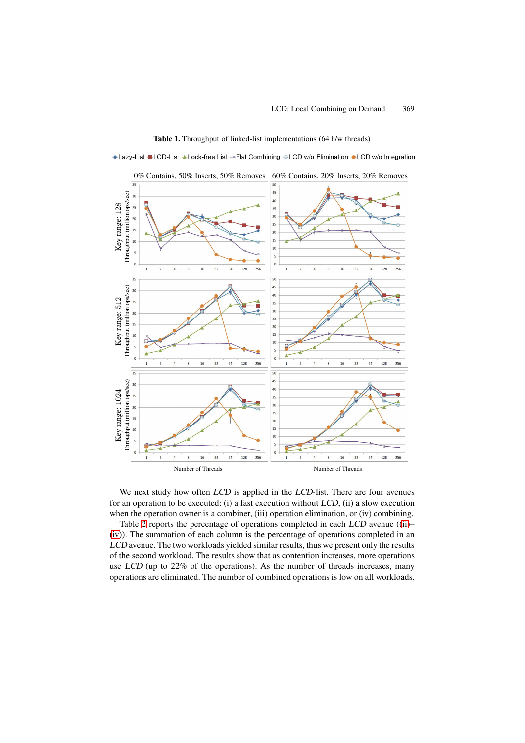

<span id="page-14-1"></span>**Table 1.** Throughput of linked-list implementations (64 h/w threads)

<span id="page-14-2"></span>We next study how often *LCD* is applied in the *LCD*-list. There are four avenues for an operation to be executed: (i) a fast execution without LCD, (ii) a slow execution when the operation owner is a combiner, (iii) operation elimination, or (iv) combining.

<span id="page-14-3"></span><span id="page-14-0"></span>Table [2](#page-15-10) reports the percentage of operations completed in each LCD avenue ([\(ii\)](#page-14-2)– [\(iv\)](#page-14-3)). The summation of each column is the percentage of operations completed in an LCD avenue. The two workloads yielded similar results, thus we present only the results of the second workload. The results show that as contention increases, more operations use LCD (up to 22% of the operations). As the number of threads increases, many operations are eliminated. The number of combined operations is low on all workloads.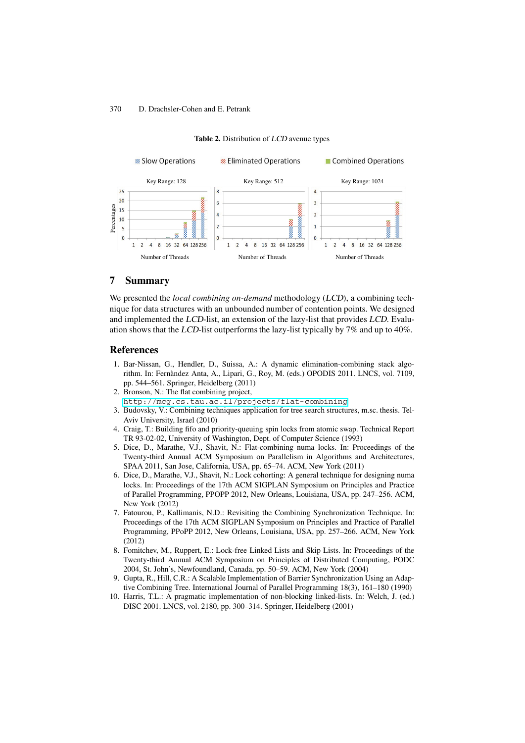<span id="page-15-10"></span>

**Table 2.** Distribution of LCD avenue types

## **7 Summary**

We presented the *local combining on-demand* methodology (LCD), a combining technique for data structures with an unbounded number of contention points. We designed and implemented the LCD-list, an extension of the lazy-list that provides LCD. Evaluation shows that the LCD-list outperforms the lazy-list typically by 7% and up to 40%.

## **References**

- <span id="page-15-0"></span>1. Bar-Nissan, G., Hendler, D., Suissa, A.: A dynamic elimination-combining stack algorithm. In: Fernàndez Anta, A., Lipari, G., Roy, M. (eds.) OPODIS 2011. LNCS, vol. 7109, pp. 544–561. Springer, Heidelberg (2011)
- <span id="page-15-9"></span>2. Bronson, N.: The flat combining project,
- <span id="page-15-7"></span><http://mcg.cs.tau.ac.il/projects/flat-combining>
- 3. Budovsky, V.: Combining techniques application for tree search structures, m.sc. thesis. Tel-Aviv University, Israel (2010)
- <span id="page-15-8"></span>4. Craig, T.: Building fifo and priority-queuing spin locks from atomic swap. Technical Report TR 93-02-02, University of Washington, Dept. of Computer Science (1993)
- <span id="page-15-1"></span>5. Dice, D., Marathe, V.J., Shavit, N.: Flat-combining numa locks. In: Proceedings of the Twenty-third Annual ACM Symposium on Parallelism in Algorithms and Architectures, SPAA 2011, San Jose, California, USA, pp. 65–74. ACM, New York (2011)
- <span id="page-15-2"></span>6. Dice, D., Marathe, V.J., Shavit, N.: Lock cohorting: A general technique for designing numa locks. In: Proceedings of the 17th ACM SIGPLAN Symposium on Principles and Practice of Parallel Programming, PPOPP 2012, New Orleans, Louisiana, USA, pp. 247–256. ACM, New York (2012)
- <span id="page-15-3"></span>7. Fatourou, P., Kallimanis, N.D.: Revisiting the Combining Synchronization Technique. In: Proceedings of the 17th ACM SIGPLAN Symposium on Principles and Practice of Parallel Programming, PPoPP 2012, New Orleans, Louisiana, USA, pp. 257–266. ACM, New York (2012)
- <span id="page-15-4"></span>8. Fomitchev, M., Ruppert, E.: Lock-free Linked Lists and Skip Lists. In: Proceedings of the Twenty-third Annual ACM Symposium on Principles of Distributed Computing, PODC 2004, St. John's, Newfoundland, Canada, pp. 50–59. ACM, New York (2004)
- <span id="page-15-6"></span>9. Gupta, R., Hill, C.R.: A Scalable Implementation of Barrier Synchronization Using an Adaptive Combining Tree. International Journal of Parallel Programming 18(3), 161–180 (1990)
- <span id="page-15-5"></span>10. Harris, T.L.: A pragmatic implementation of non-blocking linked-lists. In: Welch, J. (ed.) DISC 2001. LNCS, vol. 2180, pp. 300–314. Springer, Heidelberg (2001)